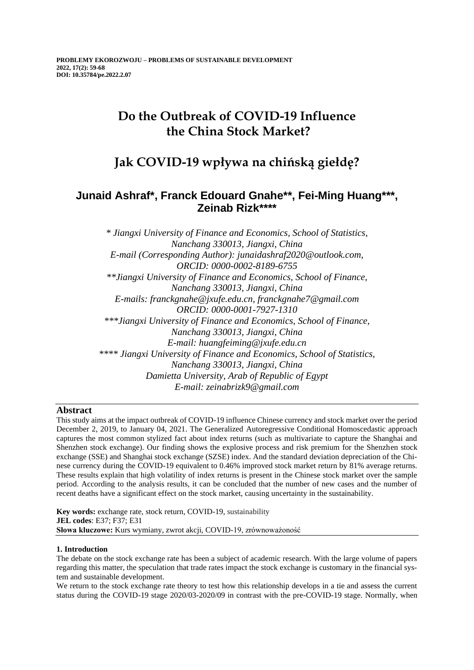# **Do the Outbreak of COVID-19 Influence the China Stock Market?**

## **Jak COVID-19 wpływa na chińską giełdę?**

## **Junaid Ashraf\*, Franck Edouard Gnahe\*\*, Fei-Ming Huang\*\*\*, Zeinab Rizk\*\*\*\***

*\* Jiangxi University of Finance and Economics, School of Statistics, Nanchang 330013, Jiangxi, China E-mail (Corresponding Author): junaidashraf2020@outlook.com, ORCID: 0000-0002-8189-6755 \*\*Jiangxi University of Finance and Economics, School of Finance, Nanchang 330013, Jiangxi, China E-mails: franckgnahe@jxufe.edu.cn, franckgnahe7@gmail.com ORCID: 0000-0001-7927-1310 \*\*\*Jiangxi University of Finance and Economics, School of Finance, Nanchang 330013, Jiangxi, China E-mail: huangfeiming@jxufe.edu.cn \*\*\*\* Jiangxi University of Finance and Economics, School of Statistics, Nanchang 330013, Jiangxi, China Damietta University, Arab of Republic of Egypt E-mail: zeinabrizk9@gmail.com*

## **Abstract**

This study aims at the impact outbreak of COVID-19 influence Chinese currency and stock market over the period December 2, 2019, to January 04, 2021. The Generalized Autoregressive Conditional Homoscedastic approach captures the most common stylized fact about index returns (such as multivariate to capture the Shanghai and Shenzhen stock exchange). Our finding shows the explosive process and risk premium for the Shenzhen stock exchange (SSE) and Shanghai stock exchange (SZSE) index. And the standard deviation depreciation of the Chinese currency during the COVID-19 equivalent to 0.46% improved stock market return by 81% average returns. These results explain that high volatility of index returns is present in the Chinese stock market over the sample period. According to the analysis results, it can be concluded that the number of new cases and the number of recent deaths have a significant effect on the stock market, causing uncertainty in the sustainability.

**Key words:** exchange rate, stock return, COVID-19, sustainability **JEL codes**: E37; F37; E31 **Słowa kluczowe:** Kurs wymiany, zwrot akcji, COVID-19, zrównoważoność

## **1. Introduction**

The debate on the stock exchange rate has been a subject of academic research. With the large volume of papers regarding this matter, the speculation that trade rates impact the stock exchange is customary in the financial system and sustainable development.

We return to the stock exchange rate theory to test how this relationship develops in a tie and assess the current status during the COVID-19 stage 2020/03-2020/09 in contrast with the pre-COVID-19 stage. Normally, when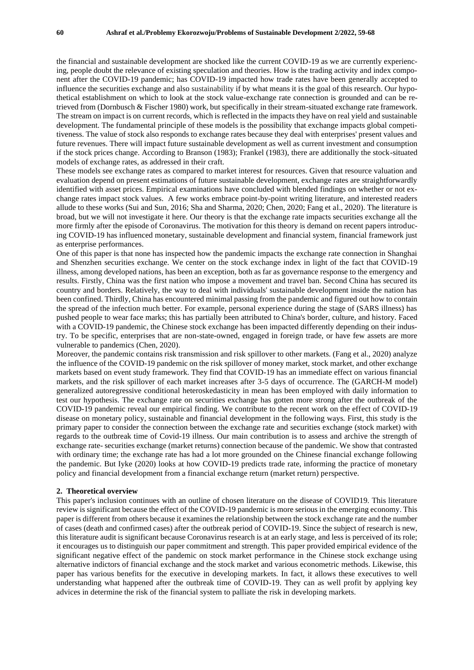the financial and sustainable development are shocked like the current COVID-19 as we are currently experiencing, people doubt the relevance of existing speculation and theories. How is the trading activity and index component after the COVID-19 pandemic; has COVID-19 impacted how trade rates have been generally accepted to influence the securities exchange and also sustainability if by what means it is the goal of this research. Our hypothetical establishment on which to look at the stock value-exchange rate connection is grounded and can be retrieved from (Dornbusch & Fischer 1980) work, but specifically in their stream-situated exchange rate framework. The stream on impact is on current records, which is reflected in the impacts they have on real yield and sustainable development. The fundamental principle of these models is the possibility that exchange impacts global competitiveness. The value of stock also responds to exchange rates because they deal with enterprises' present values and future revenues. There will impact future sustainable development as well as current investment and consumption if the stock prices change. According to Branson (1983); Frankel (1983), there are additionally the stock-situated models of exchange rates, as addressed in their craft.

These models see exchange rates as compared to market interest for resources. Given that resource valuation and evaluation depend on present estimations of future sustainable development, exchange rates are straightforwardly identified with asset prices. Empirical examinations have concluded with blended findings on whether or not exchange rates impact stock values. A few works embrace point-by-point writing literature, and interested readers allude to these works (Sui and Sun, 2016; Sha and Sharma, 2020; Chen, 2020; Fang et al., 2020). The literature is broad, but we will not investigate it here. Our theory is that the exchange rate impacts securities exchange all the more firmly after the episode of Coronavirus. The motivation for this theory is demand on recent papers introducing COVID-19 has influenced monetary, sustainable development and financial system, financial framework just as enterprise performances.

One of this paper is that none has inspected how the pandemic impacts the exchange rate connection in Shanghai and Shenzhen securities exchange. We center on the stock exchange index in light of the fact that COVID-19 illness, among developed nations, has been an exception, both as far as governance response to the emergency and results. Firstly, China was the first nation who impose a movement and travel ban. Second China has secured its country and borders. Relatively, the way to deal with individuals' sustainable development inside the nation has been confined. Thirdly, China has encountered minimal passing from the pandemic and figured out how to contain the spread of the infection much better. For example, personal experience during the stage of (SARS illness) has pushed people to wear face marks; this has partially been attributed to China's border, culture, and history. Faced with a COVID-19 pandemic, the Chinese stock exchange has been impacted differently depending on their industry. To be specific, enterprises that are non-state-owned, engaged in foreign trade, or have few assets are more vulnerable to pandemics (Chen, 2020).

Moreover, the pandemic contains risk transmission and risk spillover to other markets. (Fang et al., 2020) analyze the influence of the COVID-19 pandemic on the risk spillover of money market, stock market, and other exchange markets based on event study framework. They find that COVID-19 has an immediate effect on various financial markets, and the risk spillover of each market increases after 3-5 days of occurrence. The (GARCH-M model) generalized autoregressive conditional heteroskedasticity in mean has been employed with daily information to test our hypothesis. The exchange rate on securities exchange has gotten more strong after the outbreak of the COVID-19 pandemic reveal our empirical finding. We contribute to the recent work on the effect of COVID-19 disease on monetary policy, sustainable and financial development in the following ways. First, this study is the primary paper to consider the connection between the exchange rate and securities exchange (stock market) with regards to the outbreak time of Covid-19 illness. Our main contribution is to assess and archive the strength of exchange rate- securities exchange (market returns) connection because of the pandemic. We show that contrasted with ordinary time; the exchange rate has had a lot more grounded on the Chinese financial exchange following the pandemic. But Iyke (2020) looks at how COVID-19 predicts trade rate, informing the practice of monetary policy and financial development from a financial exchange return (market return) perspective.

#### **2. Theoretical overview**

This paper's inclusion continues with an outline of chosen literature on the disease of COVID19. This literature review is significant because the effect of the COVID-19 pandemic is more serious in the emerging economy. This paper is different from others because it examines the relationship between the stock exchange rate and the number of cases (death and confirmed cases) after the outbreak period of COVID-19. Since the subject of research is new, this literature audit is significant because Coronavirus research is at an early stage, and less is perceived of its role; it encourages us to distinguish our paper commitment and strength. This paper provided empirical evidence of the significant negative effect of the pandemic on stock market performance in the Chinese stock exchange using alternative indictors of financial exchange and the stock market and various econometric methods. Likewise, this paper has various benefits for the executive in developing markets. In fact, it allows these executives to well understanding what happened after the outbreak time of COVID-19. They can as well profit by applying key advices in determine the risk of the financial system to palliate the risk in developing markets.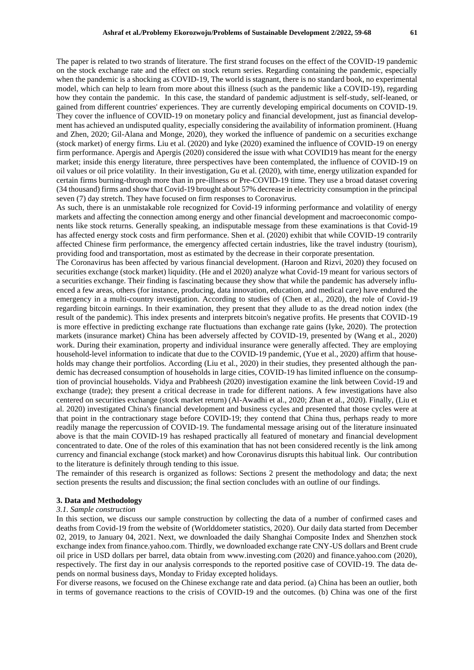The paper is related to two strands of literature. The first strand focuses on the effect of the COVID-19 pandemic on the stock exchange rate and the effect on stock return series. Regarding containing the pandemic, especially when the pandemic is a shocking as COVID-19, The world is stagnant, there is no standard book, no experimental model, which can help to learn from more about this illness (such as the pandemic like a COVID-19), regarding how they contain the pandemic. In this case, the standard of pandemic adjustment is self-study, self-leaned, or gained from different countries' experiences. They are currently developing empirical documents on COVID-19. They cover the influence of COVID-19 on monetary policy and financial development, just as financial development has achieved an undisputed quality, especially considering the availability of information prominent. (Huang and Zhen, 2020; Gil-Alana and Monge, 2020), they worked the influence of pandemic on a securities exchange (stock market) of energy firms. Liu et al. (2020) and Iyke (2020) examined the influence of COVID-19 on energy firm performance. Apergis and Apergis (2020) considered the issue with what COVID19 has meant for the energy market; inside this energy literature, three perspectives have been contemplated, the influence of COVID-19 on oil values or oil price volatility. In their investigation, Gu et al. (2020), with time, energy utilization expanded for certain firms burning-through more than in pre-illness or Pre-COVID-19 time. They use a broad dataset covering (34 thousand) firms and show that Covid-19 brought about 57% decrease in electricity consumption in the principal seven (7) day stretch. They have focused on firm responses to Coronavirus.

As such, there is an unmistakable role recognized for Covid-19 informing performance and volatility of energy markets and affecting the connection among energy and other financial development and macroeconomic components like stock returns. Generally speaking, an indisputable message from these examinations is that Covid-19 has affected energy stock costs and firm performance. Shen et al. (2020) exhibit that while COVID-19 contrarily affected Chinese firm performance, the emergency affected certain industries, like the travel industry (tourism), providing food and transportation, most as estimated by the decrease in their corporate presentation.

The Coronavirus has been affected by various financial development. (Haroon and Rizvi, 2020) they focused on securities exchange (stock market) liquidity. (He and el 2020) analyze what Covid-19 meant for various sectors of a securities exchange. Their finding is fascinating because they show that while the pandemic has adversely influenced a few areas, others (for instance, producing, data innovation, education, and medical care) have endured the emergency in a multi-country investigation. According to studies of (Chen et al., 2020), the role of Covid-19 regarding bitcoin earnings. In their examination, they present that they allude to as the dread notion index (the result of the pandemic). This index presents and interprets bitcoin's negative profits. He presents that COVID-19 is more effective in predicting exchange rate fluctuations than exchange rate gains (Iyke, 2020). The protection markets (insurance market) China has been adversely affected by COVID-19, presented by (Wang et al., 2020) work. During their examination, property and individual insurance were generally affected. They are employing household-level information to indicate that due to the COVID-19 pandemic, (Yue et al., 2020) affirm that households may change their portfolios. According (Liu et al., 2020) in their studies, they presented although the pandemic has decreased consumption of households in large cities, COVID-19 has limited influence on the consumption of provincial households. Vidya and Prabheesh (2020) investigation examine the link between Covid-19 and exchange (trade); they present a critical decrease in trade for different nations. A few investigations have also centered on securities exchange (stock market return) (Al-Awadhi et al., 2020; Zhan et al., 2020). Finally, (Liu et al. 2020) investigated China's financial development and business cycles and presented that those cycles were at that point in the contractionary stage before COVID-19; they contend that China thus, perhaps ready to more readily manage the repercussion of COVID-19. The fundamental message arising out of the literature insinuated above is that the main COVID-19 has reshaped practically all featured of monetary and financial development concentrated to date. One of the roles of this examination that has not been considered recently is the link among currency and financial exchange (stock market) and how Coronavirus disrupts this habitual link. Our contribution to the literature is definitely through tending to this issue.

The remainder of this research is organized as follows: Sections 2 present the methodology and data; the next section presents the results and discussion; the final section concludes with an outline of our findings.

#### **3. Data and Methodology**

#### *3.1. Sample construction*

In this section, we discuss our sample construction by collecting the data of a number of confirmed cases and deaths from Covid-19 from the website of (Worlddometer statistics, 2020). Our daily data started from December 02, 2019, to January 04, 2021. Next, we downloaded the daily Shanghai Composite Index and Shenzhen stock exchange index from finance.yahoo.com. Thirdly, we downloaded exchange rate CNY-US dollars and Brent crude oil price in USD dollars per barrel, data obtain from www.investing.com (2020) and finance.yahoo.com (2020), respectively. The first day in our analysis corresponds to the reported positive case of COVID-19. The data depends on normal business days, Monday to Friday excepted holidays.

For diverse reasons, we focused on the Chinese exchange rate and data period. (a) China has been an outlier, both in terms of governance reactions to the crisis of COVID-19 and the outcomes. (b) China was one of the first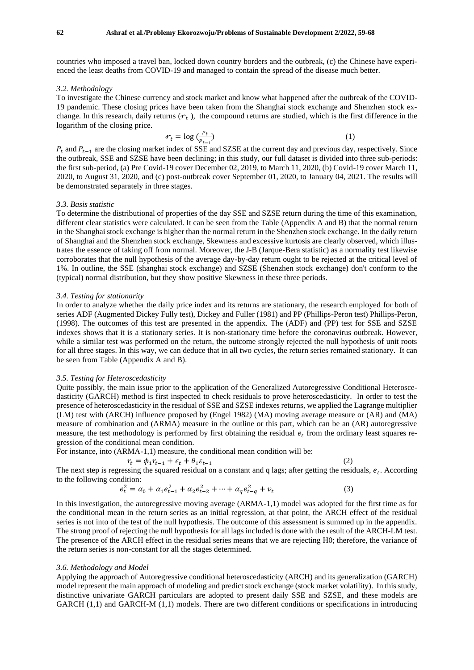countries who imposed a travel ban, locked down country borders and the outbreak, (c) the Chinese have experienced the least deaths from COVID-19 and managed to contain the spread of the disease much better.

#### *3.2. Methodology*

To investigate the Chinese currency and stock market and know what happened after the outbreak of the COVID-19 pandemic. These closing prices have been taken from the Shanghai stock exchange and Shenzhen stock exchange. In this research, daily returns  $(r_t)$ , the compound returns are studied, which is the first difference in the logarithm of the closing price.

$$
\mathcal{F}_t = \log\left(\frac{P_t}{P_{t-1}}\right) \tag{1}
$$

 $P_t$  and  $P_{t-1}$  are the closing market index of SSE and SZSE at the current day and previous day, respectively. Since the outbreak, SSE and SZSE have been declining; in this study, our full dataset is divided into three sub-periods: the first sub-period, (a) Pre Covid-19 cover December 02, 2019, to March 11, 2020, (b) Covid-19 cover March 11, 2020, to August 31, 2020, and (c) post-outbreak cover September 01, 2020, to January 04, 2021. The results will be demonstrated separately in three stages.

#### *3.3. Basis statistic*

To determine the distributional of properties of the day SSE and SZSE return during the time of this examination, different clear statistics were calculated. It can be seen from the Table (Appendix A and B) that the normal return in the Shanghai stock exchange is higher than the normal return in the Shenzhen stock exchange. In the daily return of Shanghai and the Shenzhen stock exchange, Skewness and excessive kurtosis are clearly observed, which illustrates the essence of taking off from normal. Moreover, the J-B (Jarque-Bera statistic) as a normality test likewise corroborates that the null hypothesis of the average day-by-day return ought to be rejected at the critical level of 1%. In outline, the SSE (shanghai stock exchange) and SZSE (Shenzhen stock exchange) don't conform to the (typical) normal distribution, but they show positive Skewness in these three periods.

#### *3.4. Testing for stationarity*

In order to analyze whether the daily price index and its returns are stationary, the research employed for both of series ADF (Augmented Dickey Fully test), Dickey and Fuller (1981) and PP (Phillips-Peron test) Phillips-Peron, (1998). The outcomes of this test are presented in the appendix. The (ADF) and (PP) test for SSE and SZSE indexes shows that it is a stationary series. It is non-stationary time before the coronavirus outbreak. However, while a similar test was performed on the return, the outcome strongly rejected the null hypothesis of unit roots for all three stages. In this way, we can deduce that in all two cycles, the return series remained stationary. It can be seen from Table (Appendix A and B).

#### *3.5. Testing for Heteroscedasticity*

Quite possibly, the main issue prior to the application of the Generalized Autoregressive Conditional Heteroscedasticity (GARCH) method is first inspected to check residuals to prove heteroscedasticity. In order to test the presence of heteroscedasticity in the residual of SSE and SZSE indexes returns, we applied the Lagrange multiplier (LM) test with (ARCH) influence proposed by (Engel 1982) (MA) moving average measure or (AR) and (MA) measure of combination and (ARMA) measure in the outline or this part, which can be an (AR) autoregressive measure, the test methodology is performed by first obtaining the residual  $e_t$  from the ordinary least squares regression of the conditional mean condition.

For instance, into (ARMA-1,1) measure, the conditional mean condition will be:

$$
r_t = \phi_1 r_{t-1} + \epsilon_t + \theta_1 \epsilon_{t-1} \tag{2}
$$

$$
(2)
$$

The next step is regressing the squared residual on a constant and q lags; after getting the residuals,  $e_t$ . According to the following condition:

$$
e_t^2 = \alpha_0 + \alpha_1 e_{t-1}^2 + \alpha_2 e_{t-2}^2 + \dots + \alpha_q e_{t-q}^2 + v_t \tag{3}
$$

In this investigation, the autoregressive moving average (ARMA-1,1) model was adopted for the first time as for the conditional mean in the return series as an initial regression, at that point, the ARCH effect of the residual series is not into of the test of the null hypothesis. The outcome of this assessment is summed up in the appendix. The strong proof of rejecting the null hypothesis for all lags included is done with the result of the ARCH-LM test. The presence of the ARCH effect in the residual series means that we are rejecting H0; therefore, the variance of the return series is non-constant for all the stages determined.

#### *3.6. Methodology and Model*

Applying the approach of Autoregressive conditional heteroscedasticity (ARCH) and its generalization (GARCH) model represent the main approach of modeling and predict stock exchange (stock market volatility). In this study, distinctive univariate GARCH particulars are adopted to present daily SSE and SZSE, and these models are GARCH (1,1) and GARCH-M (1,1) models. There are two different conditions or specifications in introducing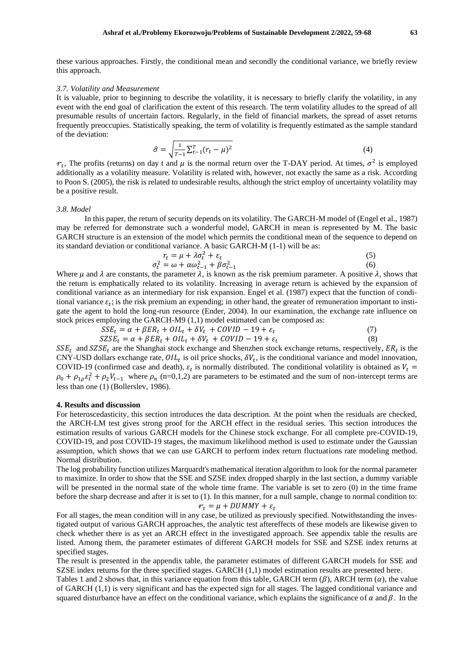these various approaches. Firstly, the conditional mean and secondly the conditional variance, we briefly review this approach.

#### *3.7. Volatility and Measurement*

It is valuable, prior to beginning to describe the volatility, it is necessary to briefly clarify the volatility, in any event with the end goal of clarification the extent of this research. The term volatility alludes to the spread of all presumable results of uncertain factors. Regularly, in the field of financial markets, the spread of asset returns frequently preoccupies. Statistically speaking, the term of volatility is frequently estimated as the sample standard of the deviation:

$$
\hat{\sigma} = \sqrt{\frac{1}{T - 1} \sum_{t=1}^{T} (r_t - \mu)^2}
$$
\n(4)

 $r_t$ , The profits (returns) on day t and  $\mu$  is the normal return over the T-DAY period. At times,  $\sigma^2$  is employed additionally as a volatility measure. Volatility is related with, however, not exactly the same as a risk. According to Poon S. (2005), the risk is related to undesirable results, although the strict employ of uncertainty volatility may be a positive result.

#### *3.8. Model*

In this paper, the return of security depends on its volatility. The GARCH-M model of (Engel et al., 1987) may be referred for demonstrate such a wonderful model, GARCH in mean is represented by M. The basic GARCH structure is an extension of the model which permits the conditional mean of the sequence to depend on its standard deviation or conditional variance. A basic GARCH-M (1-1) will be as:

$$
r_t = \mu + \lambda \sigma_t^2 + \varepsilon_t
$$
  
\n
$$
\sigma_t^2 = \omega + \alpha \omega_{t-1}^2 + \beta \sigma_{t-1}^2
$$
\n(5)

Where  $\mu$  and  $\lambda$  are constants, the parameter  $\lambda$ , is known as the risk premium parameter. A positive  $\lambda$ , shows that the return is emphatically related to its volatility. Increasing in average return is achieved by the expansion of conditional variance as an intermediary for risk expansion. Engel et al. (1987) expect that the function of conditional variance  $\varepsilon_t$ ; is the risk premium an expending; in other hand, the greater of remuneration important to instigate the agent to hold the long-run resource (Ender, 2004). In our examination, the exchange rate influence on stock prices employing the GARCH-M9 (1,1) model estimated can be composed as:

$$
SSE_t = \alpha + \beta ER_t + OIL_t + \delta V_t + COVID - 19 + \varepsilon_t
$$
  
\n
$$
SZSE_t = \alpha + \beta ER_t + OIL_t + \delta V_t + COVID - 19 + \varepsilon_t
$$
\n(7)

 $SSE_t$  and  $SZSE_t$  are the Shanghai stock exchange and Shenzhen stock exchange returns, respectively,  $ER_t$  is the CNY-USD dollars exchange rate,  $OIL_t$  is oil price shocks,  $\delta V_t$ , is the conditional variance and model innovation, COVID-19 (confirmed case and death),  $\varepsilon_t$  is normally distributed. The conditional volatility is obtained as  $V_t$  =  $\rho_0 + \rho_{1\rho} \varepsilon_t^2 + \rho_2 V_{t-1}$  where  $\rho_n$  (n=0,1,2) are parameters to be estimated and the sum of non-intercept terms are less than one (1) (Bollerslev, 1986).

### **4. Results and discussion**

specified stages.

For heteroscedasticity, this section introduces the data description. At the point when the residuals are checked, the ARCH-LM test gives strong proof for the ARCH effect in the residual series. This section introduces the estimation results of various GARCH models for the Chinese stock exchange. For all complete pre-COVID-19, COVID-19, and post COVID-19 stages, the maximum likelihood method is used to estimate under the Gaussian assumption, which shows that we can use GARCH to perform index return fluctuations rate modeling method. Normal distribution.

The log probability function utilizes Marquardt's mathematical iteration algorithm to look for the normal parameter to maximize. In order to show that the SSE and SZSE index dropped sharply in the last section, a dummy variable will be presented in the normal state of the whole time frame. The variable is set to zero (0) in the time frame before the sharp decrease and after it is set to (1). In this manner, for a null sample, change to normal condition to:  $r_t = \mu + DUMMY + \varepsilon_t$ 

For all stages, the mean condition will in any case, be utilized as previously specified. Notwithstanding the investigated output of various GARCH approaches, the analytic test aftereffects of these models are likewise given to check whether there is as yet an ARCH effect in the investigated approach. See appendix table the results are listed. Among them, the parameter estimates of different GARCH models for SSE and SZSE index returns at

The result is presented in the appendix table, the parameter estimates of different GARCH models for SSE and SZSE index returns for the three specified stages. GARCH (1,1) model estimation results are presented here.

Tables 1 and 2 shows that, in this variance equation from this table, GARCH term  $(\beta)$ , ARCH term  $(\alpha)$ , the value of GARCH (1,1) is very significant and has the expected sign for all stages. The lagged conditional variance and squared disturbance have an effect on the conditional variance, which explains the significance of  $\alpha$  and  $\beta$ . In the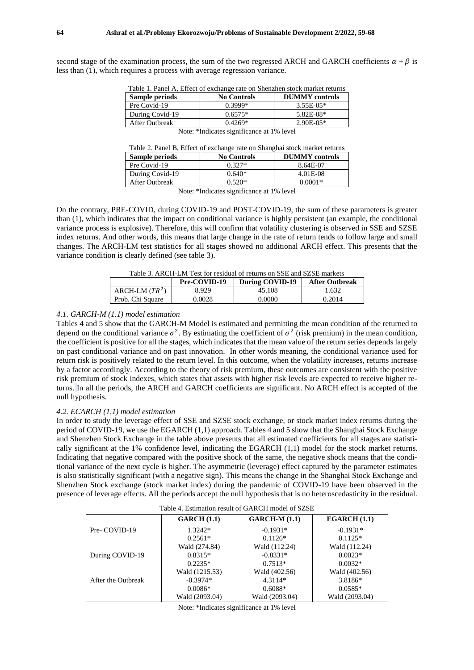second stage of the examination process, the sum of the two regressed ARCH and GARCH coefficients  $\alpha + \beta$  is less than (1), which requires a process with average regression variance.

| $\alpha$ i i | $\blacksquare$                                                             |  |
|--------------|----------------------------------------------------------------------------|--|
|              | Table 1. Panel A, Effect of exchange rate on Shenzhen stock market returns |  |

| <b>DUMMY</b> controls |
|-----------------------|
| $3.55E-0.5*$          |
| $5.82E-08*$           |
| $2.90E-0.5*$          |
|                       |

Note: \*Indicates significance at 1% level

| Table 2. Panel B, Effect of exchange rate on Shanghai stock market returns |                    |                       |  |  |
|----------------------------------------------------------------------------|--------------------|-----------------------|--|--|
| Sample periods                                                             | <b>No Controls</b> | <b>DUMMY</b> controls |  |  |
| Pre Covid-19                                                               | $0.327*$           | 8.64E-07              |  |  |
| During Covid-19                                                            | $0.640*$           | 4.01E-08              |  |  |
| After Outbreak                                                             | $0.520*$           | $0.0001*$             |  |  |

Note: \*Indicates significance at 1% level

On the contrary, PRE-COVID, during COVID-19 and POST-COVID-19, the sum of these parameters is greater than (1), which indicates that the impact on conditional variance is highly persistent (an example, the conditional variance process is explosive). Therefore, this will confirm that volatility clustering is observed in SSE and SZSE index returns. And other words, this means that large change in the rate of return tends to follow large and small changes. The ARCH-LM test statistics for all stages showed no additional ARCH effect. This presents that the variance condition is clearly defined (see table 3).

| Table 3. ARCH-LM Test for residual of returns on SSE and SZSE markets |                                                          |        |        |  |
|-----------------------------------------------------------------------|----------------------------------------------------------|--------|--------|--|
|                                                                       | During COVID-19<br>Pre-COVID-19<br><b>After Outbreak</b> |        |        |  |
| ARCH-LM $(TR^2)$                                                      | 8.929                                                    | 45.108 | 1.632  |  |
| Prob. Chi Square                                                      | 0.0028                                                   | 0.0000 | 0.2014 |  |

Table 3. ARCH-LM Test for residual of returns on SSE and SZSE markets

#### *4.1. GARCH-M (1.1) model estimation*

Tables 4 and 5 show that the GARCH-M Model is estimated and permitting the mean condition of the returned to depend on the conditional variance  $\sigma^2$ . By estimating the coefficient of  $\sigma^2$  (risk premium) in the mean condition, the coefficient is positive for all the stages, which indicates that the mean value of the return series depends largely on past conditional variance and on past innovation. In other words meaning, the conditional variance used for return risk is positively related to the return level. In this outcome, when the volatility increases, returns increase by a factor accordingly. According to the theory of risk premium, these outcomes are consistent with the positive risk premium of stock indexes, which states that assets with higher risk levels are expected to receive higher returns. In all the periods, the ARCH and GARCH coefficients are significant. No ARCH effect is accepted of the null hypothesis.

#### *4.2. ECARCH (1,1) model estimation*

In order to study the leverage effect of SSE and SZSE stock exchange, or stock market index returns during the period of COVID-19, we use the EGARCH (1,1) approach. Tables 4 and 5 show that the Shanghai Stock Exchange and Shenzhen Stock Exchange in the table above presents that all estimated coefficients for all stages are statistically significant at the 1% confidence level, indicating the EGARCH (1,1) model for the stock market returns. Indicating that negative compared with the positive shock of the same, the negative shock means that the conditional variance of the next cycle is higher. The asymmetric (leverage) effect captured by the parameter estimates is also statistically significant (with a negative sign). This means the change in the Shanghai Stock Exchange and Shenzhen Stock exchange (stock market index) during the pandemic of COVID-19 have been observed in the presence of leverage effects. All the periods accept the null hypothesis that is no heteroscedasticity in the residual.

Table 4. Estimation result of GARCH model of SZSE

| Table 4. Estimation result of Grifferi model of DZDE |                |                 |                |  |
|------------------------------------------------------|----------------|-----------------|----------------|--|
|                                                      | GARCH(1.1)     | $GARCH-M (1.1)$ | EGARCH(1.1)    |  |
| Pre-COVID-19                                         | 1.3242*        | $-0.1931*$      | $-0.1931*$     |  |
|                                                      | $0.2561*$      | $0.1126*$       | $0.1125*$      |  |
|                                                      | Wald (274.84)  | Wald (112.24)   | Wald (112.24)  |  |
| During COVID-19                                      | $0.8315*$      | $-0.8331*$      | $0.0023*$      |  |
|                                                      | $0.2235*$      | $0.7513*$       | $0.0032*$      |  |
|                                                      | Wald (1215.53) | Wald (402.56)   | Wald (402.56)  |  |
| After the Outbreak                                   | $-0.3974*$     | $4.3114*$       | 3.8186*        |  |
|                                                      | $0.0086*$      | $0.6088*$       | $0.0585*$      |  |
|                                                      | Wald (2093.04) | Wald (2093.04)  | Wald (2093.04) |  |

Note: \*Indicates significance at 1% level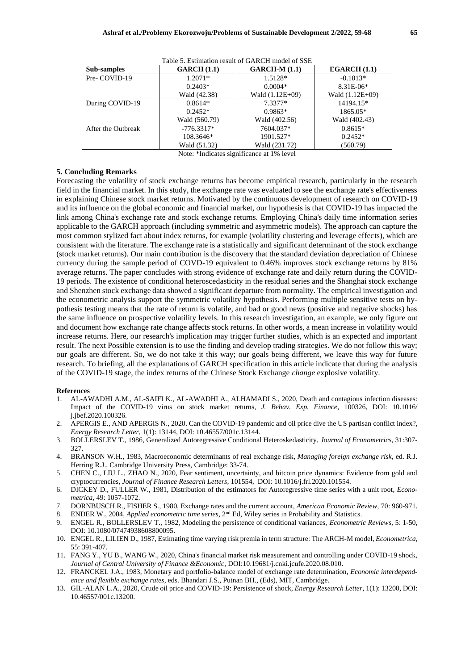| Sub-samples        | GARCH(1.1)    | $GARCH-M (1.1)$ | EGARCH(1.1)     |
|--------------------|---------------|-----------------|-----------------|
| Pre-COVID-19       | $1.2071*$     | 1.5128*         | $-0.1013*$      |
|                    | $0.2403*$     | $0.0004*$       | 8.31E-06*       |
|                    | Wald (42.38)  | Wald (1.12E+09) | Wald (1.12E+09) |
| During COVID-19    | $0.8614*$     | $7.3377*$       | 14194.15*       |
|                    | $0.2452*$     | $0.9863*$       | 1865.05*        |
|                    | Wald (560.79) | Wald (402.56)   | Wald (402.43)   |
| After the Outbreak | $-776.3317*$  | 7604.037*       | $0.8615*$       |
|                    | 108.3646*     | 1901.527*       | $0.2452*$       |
|                    | Wald (51.32)  | Wald (231.72)   | (560.79)        |

Table 5. Estimation result of GARCH model of SSE

Note: \*Indicates significance at 1% level

#### **5. Concluding Remarks**

Forecasting the volatility of stock exchange returns has become empirical research, particularly in the research field in the financial market. In this study, the exchange rate was evaluated to see the exchange rate's effectiveness in explaining Chinese stock market returns. Motivated by the continuous development of research on COVID-19 and its influence on the global economic and financial market, our hypothesis is that COVID-19 has impacted the link among China's exchange rate and stock exchange returns. Employing China's daily time information series applicable to the GARCH approach (including symmetric and asymmetric models). The approach can capture the most common stylized fact about index returns, for example (volatility clustering and leverage effects), which are consistent with the literature. The exchange rate is a statistically and significant determinant of the stock exchange (stock market returns). Our main contribution is the discovery that the standard deviation depreciation of Chinese currency during the sample period of COVD-19 equivalent to 0.46% improves stock exchange returns by 81% average returns. The paper concludes with strong evidence of exchange rate and daily return during the COVID-19 periods. The existence of conditional heteroscedasticity in the residual series and the Shanghai stock exchange and Shenzhen stock exchange data showed a significant departure from normality. The empirical investigation and the econometric analysis support the symmetric volatility hypothesis. Performing multiple sensitive tests on hypothesis testing means that the rate of return is volatile, and bad or good news (positive and negative shocks) has the same influence on prospective volatility levels. In this research investigation, an example, we only figure out and document how exchange rate change affects stock returns. In other words, a mean increase in volatility would increase returns. Here, our research's implication may trigger further studies, which is an expected and important result. The next Possible extension is to use the finding and develop trading strategies. We do not follow this way; our goals are different. So, we do not take it this way; our goals being different, we leave this way for future research. To briefing, all the explanations of GARCH specification in this article indicate that during the analysis of the COVID-19 stage, the index returns of the Chinese Stock Exchange *change* explosive volatility.

#### **References**

- 1. AL-AWADHI A.M., AL-SAIFI K., AL-AWADHI A., ALHAMADI S., 2020, Death and contagious infection diseases: Impact of the COVID-19 virus on stock market returns, *J. Behav. Exp. Finance*, 100326, DOI: 10.1016/ j.jbef.2020.100326.
- 2. APERGIS E., AND APERGIS N., 2020. Can the COVID-19 pandemic and oil price dive the US partisan conflict index?, *Energy Research Letter*, 1(1): 13144, DOI: 10.46557/001c.13144.
- 3. BOLLERSLEV T., 1986, Generalized Autoregressive Conditional Heteroskedasticity, *Journal of Econometrics,* 31:307- 327.
- 4. BRANSON W.H., 1983, Macroeconomic determinants of real exchange risk, *Managing foreign exchange risk,* ed. R.J. Herring R.J., Cambridge University Press, Cambridge: 33-74.
- 5. CHEN C., LIU L., ZHAO N., 2020, Fear sentiment, uncertainty, and bitcoin price dynamics: Evidence from gold and cryptocurrencies, *Journal of Finance Research Letters,* 101554, DOI: 10.1016/j.frl.2020.101554.
- 6. DICKEY D., FULLER W., 1981, Distribution of the estimators for Autoregressive time series with a unit root, *Econometrica*, 49: 1057-1072.
- 7. DORNBUSCH R., FISHER S., 1980, Exchange rates and the current account, *American Economic Review*, 70: 960-971.
- 8. ENDER W., 2004, *Applied econometric time series*, 2nd Ed, Wiley series in Probability and Statistics.
- 9. ENGEL R., BOLLERSLEV T., 1982, Modeling the persistence of conditional variances, *Econometric Reviews,* 5: 1-50, DOI: 10.1080/07474938608800095.
- 10. ENGEL R., LILIEN D., 1987, Estimating time varying risk premia in term structure: The ARCH-M model, *Econometrica*, 55: 391-407.
- 11. FANG Y., YU B., WANG W., 2020, China's financial market risk measurement and controlling under COVID-19 shock, *Journal of Central University of Finance &Economic,* DOI:10.19681/j.cnki.jcufe.2020.08.010.
- 12. FRANCKEL J.A., 1983, Monetary and portfolio-balance model of exchange rate determination, *Economic interdependence and flexible exchange rates*, eds. Bhandari J.S., Putnan BH., (Eds), MIT, Cambridge.
- 13. GIL-ALAN L.A., 2020, Crude oil price and COVID-19: Persistence of shock, *Energy Research Letter*, 1(1): 13200, DOI: 10.46557/001c.13200.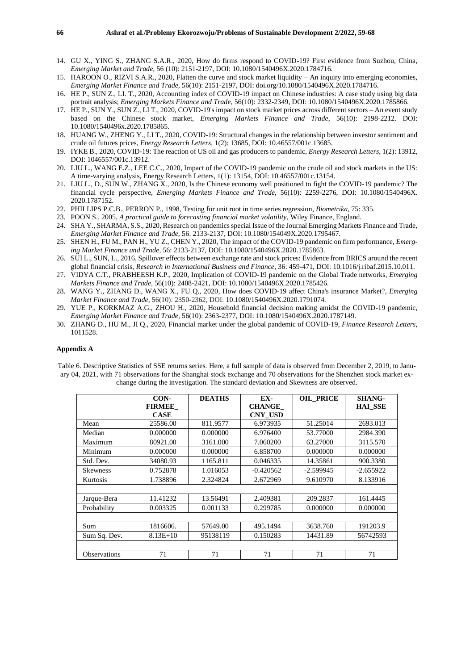- 14. GU X., YING S., ZHANG S.A.R., 2020, How do firms respond to COVID-19? First evidence from Suzhou, China, *Emerging Market and Trade*, 56 (10): 2151-2197, DOI: 10.1080/1540496X.2020.1784716.
- 15. HAROON O., RIZVI S.A.R., 2020, Flatten the curve and stock market liquidity An inquiry into emerging economies, *Emerging Market Finance and Trade,* 56(10): 2151-2197, DOI: doi.org/10.1080/1540496X.2020.1784716.
- 16. HE P., SUN Z., LI. T., 2020, Accounting index of COVID-19 impact on Chinese industries: A case study using big data portrait analysis; *Emerging Markets Finance and Trade*, 56(10): 2332-2349, DOI: 10.1080/1540496X.2020.1785866.
- 17. HE P., SUN Y., SUN Z., LI T., 2020, COVID-19's impact on stock market prices across different sectors An event study based on the Chinese stock market, *Emerging Markets Finance and Trade*, 56(10): 2198-2212. DOI: 10.1080/1540496x.2020.1785865.
- 18. HUANG W., ZHENG Y., LI T., 2020, COVID-19: Structural changes in the relationship between investor sentiment and crude oil futures prices, *Energy Research Letters*, 1(2): 13685, DOI: 10.46557/001c.13685.
- 19. IYKE B., 2020, COVID-19: The reaction of US oil and gas producers to pandemic, *Energy Research Letters*, 1(2): 13912, DOI: 1046557/001c.13912.
- 20. LIU L., WANG E.Z., LEE C.C., 2020, Impact of the COVID-19 pandemic on the crude oil and stock markets in the US: A time-varying analysis, Energy Research Letters, 1(1): 13154, DOI: 10.46557/001c.13154.
- 21. LIU L., D., SUN W., ZHANG X., 2020, Is the Chinese economy well positioned to fight the COVID-19 pandemic? The financial cycle perspective, *Emerging Markets Finance and Trade,* 56(10): 2259-2276, DOI: 10.1080/1540496X. 2020.1787152.
- 22. PHILLIPS P.C.B., PERRON P., 1998, Testing for unit root in time series regression, *Biometrika*, 75: 335.
- 23. POON S., 2005, *A practical guide to forecasting financial market volatility*, Wiley Finance, England.
- 24. SHA Y., SHARMA, S.S., 2020, Research on pandemics special Issue of the Journal Emerging Markets Finance and Trade, *Emerging Market Finance and Trade,* 56: 2133-2137, DOI: 10.1080/154049X.2020.1795467.
- 25. SHEN H., FU M., PAN H., YU Z., CHEN Y., 2020, The impact of the COVID-19 pandemic on firm performance*, Emerging Market Finance and Trade,* 56: 2133-2137, DOI: 10.1080/1540496X.2020.1785863.
- 26. SUI L., SUN, L., 2016, Spillover effects between exchange rate and stock prices: Evidence from BRICS around the recent global financial crisis, *Research in International Business and Finance*, 36: 459-471, DOI: 10.1016/j.ribaf.2015.10.011.
- 27. VIDYA C.T., PRABHEESH K.P., 2020, Implication of COVID-19 pandemic on the Global Trade networks, *Emerging Markets Finance and Trade*, 56(10): 2408-2421, DOI: 10.1080/1540496X.2020.1785426.
- 28. WANG Y., ZHANG D., WANG X., FU Q., 2020, How does COVID-19 affect China's insurance Market?, *Emerging Market Finance and Trade*, 56(10): 2350-2362, DOI: 10.1080/1540496X.2020.1791074.
- 29. YUE P., KORKMAZ A.G., ZHOU H., 2020, Household financial decision making amidst the COVID-19 pandemic, *Emerging Market Finance and Trade*, 56(10): 2363-2377, DOI: 10.1080/1540496X.2020.1787149.
- 30. ZHANG D., HU M., JI Q., 2020, Financial market under the global pandemic of COVID-19, *Finance Research Letters,* 1011528.

#### **Appendix A**

Table 6. Descriptive Statistics of SSE returns series. Here, a full sample of data is observed from December 2, 2019, to January 04, 2021, with 71 observations for the Shanghai stock exchange and 70 observations for the Shenzhen stock market exchange during the investigation. The standard deviation and Skewness are observed.

|                 | CON-<br><b>FIRMEE</b> | <b>DEATHS</b> | EX-<br><b>CHANGE</b> | <b>OIL PRICE</b> | <b>SHANG-</b><br><b>HAI SSE</b> |
|-----------------|-----------------------|---------------|----------------------|------------------|---------------------------------|
|                 | <b>CASE</b>           |               | <b>CNY USD</b>       |                  |                                 |
| Mean            | 25586.00              | 811.9577      | 6.973935             | 51.25014         | 2693.013                        |
| Median          | 0.000000              | 0.000000      | 6.976400             | 53.77000         | 2984.390                        |
| Maximum         | 80921.00              | 3161.000      | 7.060200             | 63.27000         | 3115.570                        |
| Minimum         | 0.000000              | 0.000000      | 6.858700             | 0.000000         | 0.000000                        |
| Std. Dev.       | 34080.93              | 1165.811      | 0.046335             | 14.35861         | 900.3380                        |
| <b>Skewness</b> | 0.752878              | 1.016053      | $-0.420562$          | $-2.599945$      | $-2.655922$                     |
| Kurtosis        | 1.738896              | 2.324824      | 2.672969             | 9.610970         | 8.133916                        |
|                 |                       |               |                      |                  |                                 |
| Jarque-Bera     | 11.41232              | 13.56491      | 2.409381             | 209.2837         | 161.4445                        |
| Probability     | 0.003325              | 0.001133      | 0.299785             | 0.000000         | 0.000000                        |
|                 |                       |               |                      |                  |                                 |
| Sum             | 1816606.              | 57649.00      | 495.1494             | 3638.760         | 191203.9                        |
| Sum Sq. Dev.    | $8.13E+10$            | 95138119      | 0.150283             | 14431.89         | 56742593                        |
|                 |                       |               |                      |                  |                                 |
| Observations    | 71                    | 71            | 71                   | 71               | 71                              |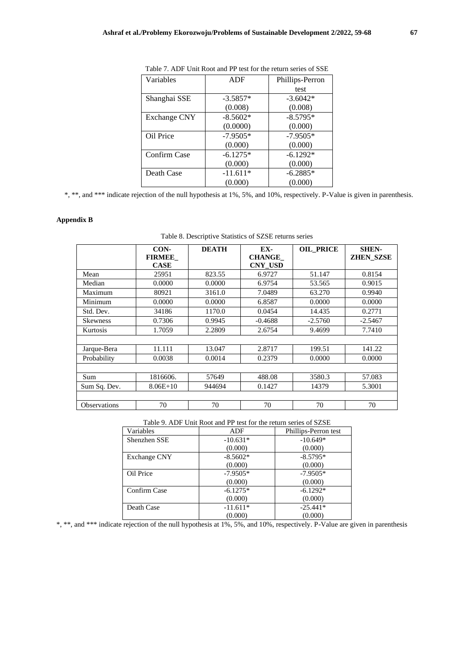| Variables           | ADF        | Phillips-Perron |
|---------------------|------------|-----------------|
|                     |            | test            |
| Shanghai SSE        | $-3.5857*$ | $-3.6042*$      |
|                     | (0.008)    | (0.008)         |
| <b>Exchange CNY</b> | $-8.5602*$ | $-8.5795*$      |
|                     | (0.0000)   | (0.000)         |
| Oil Price           | $-7.9505*$ | $-7.9505*$      |
|                     | (0.000)    | (0.000)         |
| Confirm Case        | $-6.1275*$ | $-6.1292*$      |
|                     | (0.000)    | (0.000)         |
| Death Case          | $-11.611*$ | $-6.2885*$      |
|                     | (0.000)    | (0.000)         |

Table 7. ADF Unit Root and PP test for the return series of SSE

\*, \*\*, and \*\*\* indicate rejection of the null hypothesis at 1%, 5%, and 10%, respectively. P-Value is given in parenthesis.

## **Appendix B**

|                     | CON-          | <b>DEATH</b> | EX-            | <b>OIL_PRICE</b> | <b>SHEN-</b>     |
|---------------------|---------------|--------------|----------------|------------------|------------------|
|                     | <b>FIRMEE</b> |              | <b>CHANGE</b>  |                  | <b>ZHEN SZSE</b> |
|                     | <b>CASE</b>   |              | <b>CNY USD</b> |                  |                  |
| Mean                | 25951         | 823.55       | 6.9727         | 51.147           | 0.8154           |
| Median              | 0.0000        | 0.0000       | 6.9754         | 53.565           | 0.9015           |
| Maximum             | 80921         | 3161.0       | 7.0489         | 63.270           | 0.9940           |
| Minimum             | 0.0000        | 0.0000       | 6.8587         | 0.0000           | 0.0000           |
| Std. Dev.           | 34186         | 1170.0       | 0.0454         | 14.435           | 0.2771           |
| <b>Skewness</b>     | 0.7306        | 0.9945       | $-0.4688$      | $-2.5760$        | $-2.5467$        |
| Kurtosis            | 1.7059        | 2.2809       | 2.6754         | 9.4699           | 7.7410           |
|                     |               |              |                |                  |                  |
| Jarque-Bera         | 11.111        | 13.047       | 2.8717         | 199.51           | 141.22           |
| Probability         | 0.0038        | 0.0014       | 0.2379         | 0.0000           | 0.0000           |
|                     |               |              |                |                  |                  |
| Sum                 | 1816606.      | 57649        | 488.08         | 3580.3           | 57.083           |
| Sum Sq. Dev.        | $8.06E+10$    | 944694       | 0.1427         | 14379            | 5.3001           |
|                     |               |              |                |                  |                  |
| <b>Observations</b> | 70            | 70           | 70             | 70               | 70               |

| Table 8. Descriptive Statistics of SZSE returns series |  |
|--------------------------------------------------------|--|
|--------------------------------------------------------|--|

Table 9. ADF Unit Root and PP test for the return series of SZSE

| Variables    | <b>ADF</b> | Phillips-Perron test |
|--------------|------------|----------------------|
| Shenzhen SSE | $-10.631*$ | $-10.649*$           |
|              | (0.000)    | (0.000)              |
| Exchange CNY | $-8.5602*$ | $-8.5795*$           |
|              | (0.000)    | (0.000)              |
| Oil Price    | $-7.9505*$ | $-7.9505*$           |
|              | (0.000)    | (0.000)              |
| Confirm Case | $-6.1275*$ | $-6.1292*$           |
|              | (0.000)    | (0.000)              |
| Death Case   | $-11.611*$ | $-25.441*$           |
|              | (0.000)    | (0.000)              |

\*, \*\*, and \*\*\* indicate rejection of the null hypothesis at 1%, 5%, and 10%, respectively. P-Value are given in parenthesis